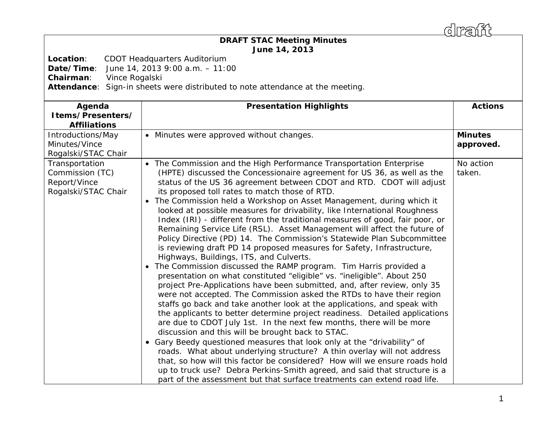draff

## *DRAFT* **STAC Meeting Minutes June 14, 2013**

**Location**: CDOT Headquarters Auditorium

**Date/Time**: June 14, 2013 9:00 a.m. – 11:00

**Chairman**: Vince Rogalski

**Attendance**: Sign-in sheets were distributed to note attendance at the meeting.

| Agenda<br>Items/Presenters/<br><b>Affiliations</b>                       | <b>Presentation Highlights</b>                                                                                                                                                                                                                                                                                                                                                                                                                                                                                                                                                                                                                                                                                                                                                                                                                                                                                                                                                                                                                                                                                                                                                                                                                                                                                                                                                                                                                                                                                                                                                                                                                                                                                                                                                              | <b>Actions</b>              |
|--------------------------------------------------------------------------|---------------------------------------------------------------------------------------------------------------------------------------------------------------------------------------------------------------------------------------------------------------------------------------------------------------------------------------------------------------------------------------------------------------------------------------------------------------------------------------------------------------------------------------------------------------------------------------------------------------------------------------------------------------------------------------------------------------------------------------------------------------------------------------------------------------------------------------------------------------------------------------------------------------------------------------------------------------------------------------------------------------------------------------------------------------------------------------------------------------------------------------------------------------------------------------------------------------------------------------------------------------------------------------------------------------------------------------------------------------------------------------------------------------------------------------------------------------------------------------------------------------------------------------------------------------------------------------------------------------------------------------------------------------------------------------------------------------------------------------------------------------------------------------------|-----------------------------|
| Introductions/May<br>Minutes/Vince<br>Rogalski/STAC Chair                | • Minutes were approved without changes.                                                                                                                                                                                                                                                                                                                                                                                                                                                                                                                                                                                                                                                                                                                                                                                                                                                                                                                                                                                                                                                                                                                                                                                                                                                                                                                                                                                                                                                                                                                                                                                                                                                                                                                                                    | <b>Minutes</b><br>approved. |
| Transportation<br>Commission (TC)<br>Report/Vince<br>Rogalski/STAC Chair | • The Commission and the High Performance Transportation Enterprise<br>(HPTE) discussed the Concessionaire agreement for US 36, as well as the<br>status of the US 36 agreement between CDOT and RTD. CDOT will adjust<br>its proposed toll rates to match those of RTD.<br>The Commission held a Workshop on Asset Management, during which it<br>looked at possible measures for drivability, like International Roughness<br>Index (IRI) - different from the traditional measures of good, fair poor, or<br>Remaining Service Life (RSL). Asset Management will affect the future of<br>Policy Directive (PD) 14. The Commission's Statewide Plan Subcommittee<br>is reviewing draft PD 14 proposed measures for Safety, Infrastructure,<br>Highways, Buildings, ITS, and Culverts.<br>The Commission discussed the RAMP program. Tim Harris provided a<br>presentation on what constituted "eligible" vs. "ineligible". About 250<br>project Pre-Applications have been submitted, and, after review, only 35<br>were not accepted. The Commission asked the RTDs to have their region<br>staffs go back and take another look at the applications, and speak with<br>the applicants to better determine project readiness. Detailed applications<br>are due to CDOT July 1st. In the next few months, there will be more<br>discussion and this will be brought back to STAC.<br>Gary Beedy questioned measures that look only at the "drivability" of<br>$\bullet$<br>roads. What about underlying structure? A thin overlay will not address<br>that, so how will this factor be considered? How will we ensure roads hold<br>up to truck use? Debra Perkins-Smith agreed, and said that structure is a<br>part of the assessment but that surface treatments can extend road life. | No action<br>taken.         |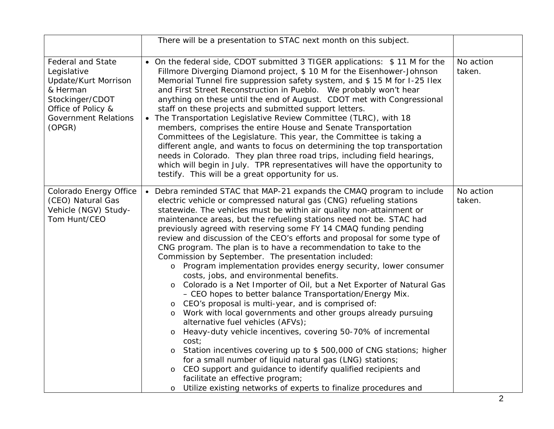|                                                                                                                                                               | There will be a presentation to STAC next month on this subject.                                                                                                                                                                                                                                                                                                                                                                                                                                                                                                                                                                                                                                                                                                                                                                                                                                                                                                                                                                                                                                                                                                                                                                                                                                                                                                                                                           |                     |
|---------------------------------------------------------------------------------------------------------------------------------------------------------------|----------------------------------------------------------------------------------------------------------------------------------------------------------------------------------------------------------------------------------------------------------------------------------------------------------------------------------------------------------------------------------------------------------------------------------------------------------------------------------------------------------------------------------------------------------------------------------------------------------------------------------------------------------------------------------------------------------------------------------------------------------------------------------------------------------------------------------------------------------------------------------------------------------------------------------------------------------------------------------------------------------------------------------------------------------------------------------------------------------------------------------------------------------------------------------------------------------------------------------------------------------------------------------------------------------------------------------------------------------------------------------------------------------------------------|---------------------|
| <b>Federal and State</b><br>Legislative<br>Update/Kurt Morrison<br>& Herman<br>Stockinger/CDOT<br>Office of Policy &<br><b>Government Relations</b><br>(OPGR) | • On the federal side, CDOT submitted 3 TIGER applications: \$11 M for the<br>Fillmore Diverging Diamond project, \$10 M for the Eisenhower-Johnson<br>Memorial Tunnel fire suppression safety system, and \$ 15 M for I-25 Ilex<br>and First Street Reconstruction in Pueblo. We probably won't hear<br>anything on these until the end of August. CDOT met with Congressional<br>staff on these projects and submitted support letters.<br>The Transportation Legislative Review Committee (TLRC), with 18<br>$\bullet$<br>members, comprises the entire House and Senate Transportation<br>Committees of the Legislature. This year, the Committee is taking a<br>different angle, and wants to focus on determining the top transportation<br>needs in Colorado. They plan three road trips, including field hearings,<br>which will begin in July. TPR representatives will have the opportunity to<br>testify. This will be a great opportunity for us.                                                                                                                                                                                                                                                                                                                                                                                                                                                              | No action<br>taken. |
| Colorado Energy Office<br>(CEO) Natural Gas<br>Vehicle (NGV) Study-<br>Tom Hunt/CEO                                                                           | • Debra reminded STAC that MAP-21 expands the CMAQ program to include<br>electric vehicle or compressed natural gas (CNG) refueling stations<br>statewide. The vehicles must be within air quality non-attainment or<br>maintenance areas, but the refueling stations need not be. STAC had<br>previously agreed with reserving some FY 14 CMAQ funding pending<br>review and discussion of the CEO's efforts and proposal for some type of<br>CNG program. The plan is to have a recommendation to take to the<br>Commission by September. The presentation included:<br>o Program implementation provides energy security, lower consumer<br>costs, jobs, and environmental benefits.<br>o Colorado is a Net Importer of Oil, but a Net Exporter of Natural Gas<br>- CEO hopes to better balance Transportation/Energy Mix.<br>CEO's proposal is multi-year, and is comprised of:<br>Work with local governments and other groups already pursuing<br>$\circ$<br>alternative fuel vehicles (AFVs);<br>Heavy-duty vehicle incentives, covering 50-70% of incremental<br>$\circ$<br>cost;<br>Station incentives covering up to \$500,000 of CNG stations; higher<br>$\circ$<br>for a small number of liquid natural gas (LNG) stations;<br>CEO support and guidance to identify qualified recipients and<br>facilitate an effective program;<br>Utilize existing networks of experts to finalize procedures and<br>$\circ$ | No action<br>taken. |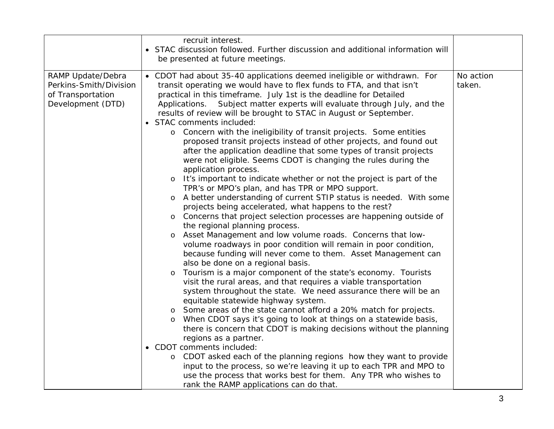|                                                                                       | recruit interest.<br>• STAC discussion followed. Further discussion and additional information will<br>be presented at future meetings.                                                                                                                                                                                                                                                                                                                                                                                                                                                                                                                                                                                                                                                                                                                                                                                                                                                                                                                                                                                                                                                                                                                                                                                                                                                                                                                                                                                                                                                                                                                                                                                                                                                                                                                                                                                                                                                                                                                                                                                                             |                     |
|---------------------------------------------------------------------------------------|-----------------------------------------------------------------------------------------------------------------------------------------------------------------------------------------------------------------------------------------------------------------------------------------------------------------------------------------------------------------------------------------------------------------------------------------------------------------------------------------------------------------------------------------------------------------------------------------------------------------------------------------------------------------------------------------------------------------------------------------------------------------------------------------------------------------------------------------------------------------------------------------------------------------------------------------------------------------------------------------------------------------------------------------------------------------------------------------------------------------------------------------------------------------------------------------------------------------------------------------------------------------------------------------------------------------------------------------------------------------------------------------------------------------------------------------------------------------------------------------------------------------------------------------------------------------------------------------------------------------------------------------------------------------------------------------------------------------------------------------------------------------------------------------------------------------------------------------------------------------------------------------------------------------------------------------------------------------------------------------------------------------------------------------------------------------------------------------------------------------------------------------------------|---------------------|
| RAMP Update/Debra<br>Perkins-Smith/Division<br>of Transportation<br>Development (DTD) | • CDOT had about 35-40 applications deemed ineligible or withdrawn. For<br>transit operating we would have to flex funds to FTA, and that isn't<br>practical in this timeframe. July 1st is the deadline for Detailed<br>Subject matter experts will evaluate through July, and the<br>Applications.<br>results of review will be brought to STAC in August or September.<br>· STAC comments included:<br>o Concern with the ineligibility of transit projects. Some entities<br>proposed transit projects instead of other projects, and found out<br>after the application deadline that some types of transit projects<br>were not eligible. Seems CDOT is changing the rules during the<br>application process.<br>o It's important to indicate whether or not the project is part of the<br>TPR's or MPO's plan, and has TPR or MPO support.<br>o A better understanding of current STIP status is needed. With some<br>projects being accelerated, what happens to the rest?<br>o Concerns that project selection processes are happening outside of<br>the regional planning process.<br>Asset Management and low volume roads. Concerns that low-<br>$\circ$<br>volume roadways in poor condition will remain in poor condition,<br>because funding will never come to them. Asset Management can<br>also be done on a regional basis.<br>Tourism is a major component of the state's economy. Tourists<br>$\circ$<br>visit the rural areas, and that requires a viable transportation<br>system throughout the state. We need assurance there will be an<br>equitable statewide highway system.<br>o Some areas of the state cannot afford a 20% match for projects.<br>When CDOT says it's going to look at things on a statewide basis,<br>there is concern that CDOT is making decisions without the planning<br>regions as a partner.<br>• CDOT comments included:<br>CDOT asked each of the planning regions how they want to provide<br>$\circ$<br>input to the process, so we're leaving it up to each TPR and MPO to<br>use the process that works best for them. Any TPR who wishes to<br>rank the RAMP applications can do that. | No action<br>taken. |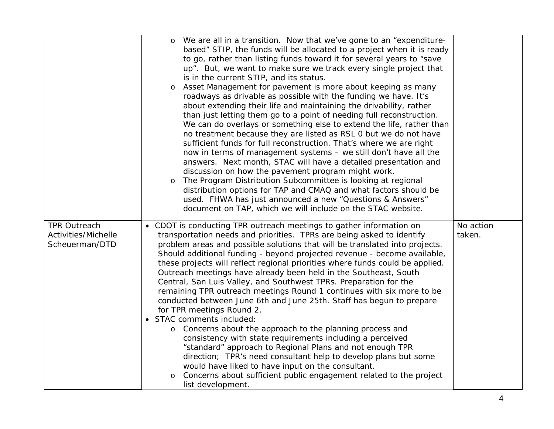| We are all in a transition. Now that we've gone to an "expenditure-<br>based" STIP, the funds will be allocated to a project when it is ready<br>to go, rather than listing funds toward it for several years to "save<br>up". But, we want to make sure we track every single project that<br>is in the current STIP, and its status.<br>Asset Management for pavement is more about keeping as many                                                                                                                                                                                                                                                                                                                                                                                                                                                                                                                                                                                                                                                                                                                          |                                                                                      |
|--------------------------------------------------------------------------------------------------------------------------------------------------------------------------------------------------------------------------------------------------------------------------------------------------------------------------------------------------------------------------------------------------------------------------------------------------------------------------------------------------------------------------------------------------------------------------------------------------------------------------------------------------------------------------------------------------------------------------------------------------------------------------------------------------------------------------------------------------------------------------------------------------------------------------------------------------------------------------------------------------------------------------------------------------------------------------------------------------------------------------------|--------------------------------------------------------------------------------------|
| about extending their life and maintaining the drivability, rather<br>than just letting them go to a point of needing full reconstruction.<br>We can do overlays or something else to extend the life, rather than<br>no treatment because they are listed as RSL 0 but we do not have<br>sufficient funds for full reconstruction. That's where we are right<br>now in terms of management systems - we still don't have all the<br>answers. Next month, STAC will have a detailed presentation and<br>discussion on how the pavement program might work.<br>The Program Distribution Subcommittee is looking at regional<br>$\circ$<br>distribution options for TAP and CMAQ and what factors should be<br>used. FHWA has just announced a new "Questions & Answers"<br>document on TAP, which we will include on the STAC website.                                                                                                                                                                                                                                                                                          |                                                                                      |
| • CDOT is conducting TPR outreach meetings to gather information on<br>transportation needs and priorities. TPRs are being asked to identify<br>problem areas and possible solutions that will be translated into projects.<br>Should additional funding - beyond projected revenue - become available,<br>these projects will reflect regional priorities where funds could be applied.<br>Outreach meetings have already been held in the Southeast, South<br>Central, San Luis Valley, and Southwest TPRs. Preparation for the<br>remaining TPR outreach meetings Round 1 continues with six more to be<br>conducted between June 6th and June 25th. Staff has begun to prepare<br>for TPR meetings Round 2.<br>• STAC comments included:<br>Concerns about the approach to the planning process and<br>consistency with state requirements including a perceived<br>"standard" approach to Regional Plans and not enough TPR<br>direction; TPR's need consultant help to develop plans but some<br>would have liked to have input on the consultant.<br>Concerns about sufficient public engagement related to the project | No action<br>taken.                                                                  |
|                                                                                                                                                                                                                                                                                                                                                                                                                                                                                                                                                                                                                                                                                                                                                                                                                                                                                                                                                                                                                                                                                                                                | roadways as drivable as possible with the funding we have. It's<br>list development. |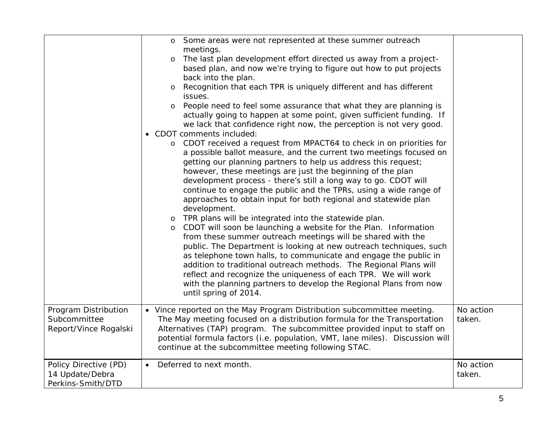|                                                               | Some areas were not represented at these summer outreach<br>meetings.<br>The last plan development effort directed us away from a project-<br>based plan, and now we're trying to figure out how to put projects<br>back into the plan.<br>Recognition that each TPR is uniquely different and has different<br>$\circ$<br>issues.<br>People need to feel some assurance that what they are planning is<br>$\circ$<br>actually going to happen at some point, given sufficient funding. If<br>we lack that confidence right now, the perception is not very good.<br>• CDOT comments included:<br>o CDOT received a request from MPACT64 to check in on priorities for<br>a possible ballot measure, and the current two meetings focused on<br>getting our planning partners to help us address this request;<br>however, these meetings are just the beginning of the plan<br>development process - there's still a long way to go. CDOT will<br>continue to engage the public and the TPRs, using a wide range of<br>approaches to obtain input for both regional and statewide plan<br>development.<br>TPR plans will be integrated into the statewide plan.<br>$\circ$<br>CDOT will soon be launching a website for the Plan. Information<br>from these summer outreach meetings will be shared with the<br>public. The Department is looking at new outreach techniques, such<br>as telephone town halls, to communicate and engage the public in<br>addition to traditional outreach methods. The Regional Plans will<br>reflect and recognize the uniqueness of each TPR. We will work<br>with the planning partners to develop the Regional Plans from now<br>until spring of 2014. |                     |
|---------------------------------------------------------------|----------------------------------------------------------------------------------------------------------------------------------------------------------------------------------------------------------------------------------------------------------------------------------------------------------------------------------------------------------------------------------------------------------------------------------------------------------------------------------------------------------------------------------------------------------------------------------------------------------------------------------------------------------------------------------------------------------------------------------------------------------------------------------------------------------------------------------------------------------------------------------------------------------------------------------------------------------------------------------------------------------------------------------------------------------------------------------------------------------------------------------------------------------------------------------------------------------------------------------------------------------------------------------------------------------------------------------------------------------------------------------------------------------------------------------------------------------------------------------------------------------------------------------------------------------------------------------------------------------------------------------------------------------------------------------------------|---------------------|
| Program Distribution<br>Subcommittee<br>Report/Vince Rogalski | • Vince reported on the May Program Distribution subcommittee meeting.<br>The May meeting focused on a distribution formula for the Transportation<br>Alternatives (TAP) program. The subcommittee provided input to staff on<br>potential formula factors (i.e. population, VMT, lane miles). Discussion will<br>continue at the subcommittee meeting following STAC.                                                                                                                                                                                                                                                                                                                                                                                                                                                                                                                                                                                                                                                                                                                                                                                                                                                                                                                                                                                                                                                                                                                                                                                                                                                                                                                       | No action<br>taken. |
| Policy Directive (PD)<br>14 Update/Debra<br>Perkins-Smith/DTD | Deferred to next month.                                                                                                                                                                                                                                                                                                                                                                                                                                                                                                                                                                                                                                                                                                                                                                                                                                                                                                                                                                                                                                                                                                                                                                                                                                                                                                                                                                                                                                                                                                                                                                                                                                                                      | No action<br>taken. |